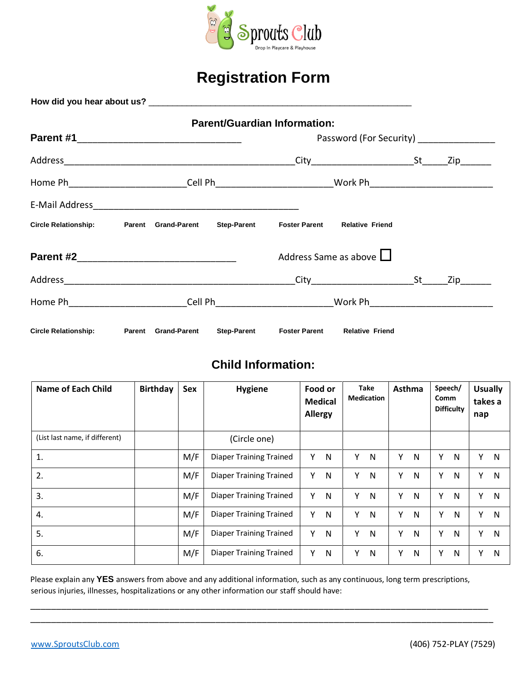

# **Registration Form**

|                                                                                                      |  |                            |                    | <b>Parent/Guardian Information:</b> |                        |                   |     |
|------------------------------------------------------------------------------------------------------|--|----------------------------|--------------------|-------------------------------------|------------------------|-------------------|-----|
|                                                                                                      |  |                            |                    |                                     |                        |                   |     |
|                                                                                                      |  |                            |                    |                                     |                        | Zip <sub>ra</sub> |     |
| Home Ph___________________________Cell Ph___________________________Work Ph_________________________ |  |                            |                    |                                     |                        |                   |     |
|                                                                                                      |  |                            |                    |                                     |                        |                   |     |
| Circle Relationship: Parent Grand-Parent                                                             |  |                            | <b>Step-Parent</b> | <b>Foster Parent</b>                | <b>Relative Friend</b> |                   |     |
| Parent #2                                                                                            |  |                            |                    | Address Same as above $\square$     |                        |                   |     |
|                                                                                                      |  |                            |                    |                                     |                        |                   | Zip |
|                                                                                                      |  |                            |                    |                                     |                        |                   |     |
| <b>Circle Relationship:</b>                                                                          |  | <b>Parent Grand-Parent</b> | <b>Step-Parent</b> | <b>Foster Parent</b>                | <b>Relative Friend</b> |                   |     |

# **Child Information:**

| Name of Each Child             | <b>Birthday</b> | Sex | <b>Hygiene</b>                 | Food or<br><b>Medical</b><br><b>Allergy</b> |   | Take<br><b>Medication</b> |   | Asthma |   | Speech/<br>Comm<br><b>Difficulty</b> |   | <b>Usually</b><br>takes a<br>nap |   |
|--------------------------------|-----------------|-----|--------------------------------|---------------------------------------------|---|---------------------------|---|--------|---|--------------------------------------|---|----------------------------------|---|
| (List last name, if different) |                 |     | (Circle one)                   |                                             |   |                           |   |        |   |                                      |   |                                  |   |
| 1.                             |                 | M/F | <b>Diaper Training Trained</b> | ٧                                           | N | Υ                         | N | Υ      | N | Y                                    | N | γ                                | N |
| 2.                             |                 | M/F | <b>Diaper Training Trained</b> | ٧                                           | N | Υ                         | N | Υ      | N | Y                                    | N | Υ                                | N |
| 3.                             |                 | M/F | <b>Diaper Training Trained</b> | γ                                           | N | Υ                         | N | Υ      | N | Υ                                    | N | Υ                                | N |
| 4.                             |                 | M/F | <b>Diaper Training Trained</b> | ٧                                           | N | Υ                         | N | Y      | N | Υ                                    | N | Υ                                | N |
| 5.                             |                 | M/F | <b>Diaper Training Trained</b> | v                                           | N | Y                         | N | Y      | N | Υ                                    | N | Υ                                | N |
| 6.                             |                 | M/F | <b>Diaper Training Trained</b> | Υ                                           | N | Y                         | N | Υ      | N | Y                                    | N | Υ                                | N |

Please explain any **YES** answers from above and any additional information, such as any continuous, long term prescriptions, serious injuries, illnesses, hospitalizations or any other information our staff should have:

\_\_\_\_\_\_\_\_\_\_\_\_\_\_\_\_\_\_\_\_\_\_\_\_\_\_\_\_\_\_\_\_\_\_\_\_\_\_\_\_\_\_\_\_\_\_\_\_\_\_\_\_\_\_\_\_\_\_\_\_\_\_\_\_\_\_\_\_\_\_\_\_\_\_\_\_\_\_\_\_\_\_\_\_\_\_\_\_\_ \_\_\_\_\_\_\_\_\_\_\_\_\_\_\_\_\_\_\_\_\_\_\_\_\_\_\_\_\_\_\_\_\_\_\_\_\_\_\_\_\_\_\_\_\_\_\_\_\_\_\_\_\_\_\_\_\_\_\_\_\_\_\_\_\_\_\_\_\_\_\_\_\_\_\_\_\_\_\_\_\_\_\_\_\_\_\_\_\_\_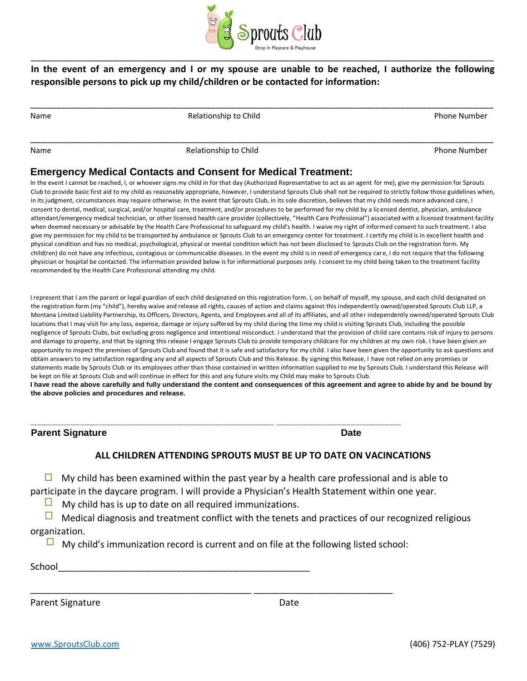

#### **In the event of an emergency and I or my spouse are unable to be reached, I authorize the following responsible persons to pick up my child/children or be contacted for information:**

\_\_\_\_\_\_\_\_\_\_\_\_\_\_\_\_\_\_\_\_\_\_\_\_\_\_\_\_\_\_\_\_\_\_\_\_\_\_\_\_\_\_\_\_\_\_\_\_\_\_\_\_\_\_\_\_\_\_\_\_\_\_\_\_\_\_\_\_\_\_\_\_\_\_\_\_\_\_\_\_\_\_\_\_\_\_\_\_\_\_

\_\_\_\_\_\_\_\_\_\_\_\_\_\_\_\_\_\_\_\_\_\_\_\_\_\_\_\_\_\_\_\_\_\_\_\_\_\_\_\_\_\_\_\_\_\_\_\_\_\_\_\_\_\_\_\_\_\_\_\_\_\_\_\_\_\_\_\_\_\_\_\_\_\_\_\_\_\_\_\_\_\_\_\_\_\_\_\_\_\_

Relationship to Child **Phone Number Relationship to Child Phone Number** 

Name **Relationship to Child** Phone Number **Relationship to Child** Phone Number **Phone Number** 

#### **Emergency Medical Contacts and Consent for Medical Treatment:**

In the event I cannot be reached, I, or whoever signs my child in for that day (Authorized Representative to act as an agent for me), give my permission for Sprouts Club to provide basic first aid to my child as reasonably appropriate, however, I understand Sprouts Club shall not be required to strictly follow those guidelines when, in its judgment, circumstances may require otherwise. In the event that Sprouts Club, in its sole discretion, believes that my child needs more advanced care, I consent to dental, medical, surgical, and/or hospital care, treatment, and/or procedures to be performed for my child by a licensed dentist, physician, ambulance attendant/emergency medical technician, or other licensed health care provider (collectively, "Health Care Professional") associated with a licensed treatment facility when deemed necessary or advisable by the Health Care Professional to safeguard my child's health. I waive my right of informed consent to such treatment. I also give my permission for my child to be transported by ambulance or Sprouts Club to an emergency center for treatment. I certify my child is in excellent health and physical condition and has no medical, psychological, physical or mental condition which has not been disclosed to Sprouts Club on the registration form. My child(ren) do not have any infectious, contagious or communicable diseases. In the event my child is in need of emergency care, I do not require that the following physician or hospital be contacted. The information provided below is for informational purposes only. I consent to my child being taken to the treatment facility recommended by the Health Care Professional attending my child.

I represent that I am the parent or legal guardian of each child designated on this registration form. I, on behalf of myself, my spouse, and each child designated on the registration form (my "child"), hereby waive and release all rights, causes of action and claims against this independently owned/operated Sprouts Club LLP, a Montana Limited Liability Partnership, its Officers, Directors, Agents, and Employees and all of its affiliates, and all other independently owned/operated Sprouts Club locations that I may visit for any loss, expense, damage or injury suffered by my child during the time my child is visiting Sprouts Club, including the possible negligence of Sprouts Clubs, but excluding gross negligence and intentional misconduct. I understand that the provision of child care contains risk of injury to persons and damage to property, and that by signing this release I engage Sprouts Club to provide temporary childcare for my children at my own risk. I have been given an opportunity to inspect the premises of Sprouts Club and found that it is safe and satisfactory for my child. I also have been given the opportunity to ask questions and obtain answers to my satisfaction regarding any and all aspects of Sprouts Club and this Release. By signing this Release, I have not relied on any promises or statements made by Sprouts Club or its employees other than those contained in written information supplied to me by Sprouts Club. I understand this Release will be kept on file at Sprouts Club and will continue in effect for this and any future visits my Child may make to Sprouts Club. **I have read the above carefully and fully understand the content and consequences of this agreement and agree to abide by and be bound by** 

**the above policies and procedures and release.** 

**Parent Signature Date 2018** 

#### **ALL CHILDREN ATTENDING SPROUTS MUST BE UP TO DATE ON VACINCATIONS**

 $\Box$  My child has been examined within the past year by a health care professional and is able to participate in the daycare program. I will provide a Physician's Health Statement within one year.

**\_\_\_\_\_\_\_\_\_\_\_\_\_\_\_\_\_\_\_\_\_\_\_\_\_\_\_\_\_\_\_\_\_\_\_\_\_\_\_\_\_\_\_\_\_\_\_\_\_\_\_ \_\_\_\_\_\_\_\_\_\_\_\_\_\_\_\_\_\_\_\_\_\_\_\_\_\_** 

 $\Box$ My child has is up to date on all required immunizations.

 $\Box$ Medical diagnosis and treatment conflict with the tenets and practices of our recognized religious organization.

 $\Box$  My child's immunization record is current and on file at the following listed school:

\_\_\_\_\_\_\_\_\_\_\_\_\_\_\_\_\_\_\_\_\_\_\_\_\_\_\_\_\_\_\_\_\_\_\_\_\_\_\_\_\_\_\_ \_\_\_\_\_\_\_\_\_\_\_\_\_\_\_\_\_\_\_\_\_\_\_\_\_\_\_

School\_\_\_\_\_\_\_\_\_\_\_\_\_\_\_\_\_\_\_\_\_\_\_\_\_\_\_\_\_\_\_\_\_\_\_\_\_\_\_\_\_\_\_\_\_\_\_\_\_

Parent Signature Date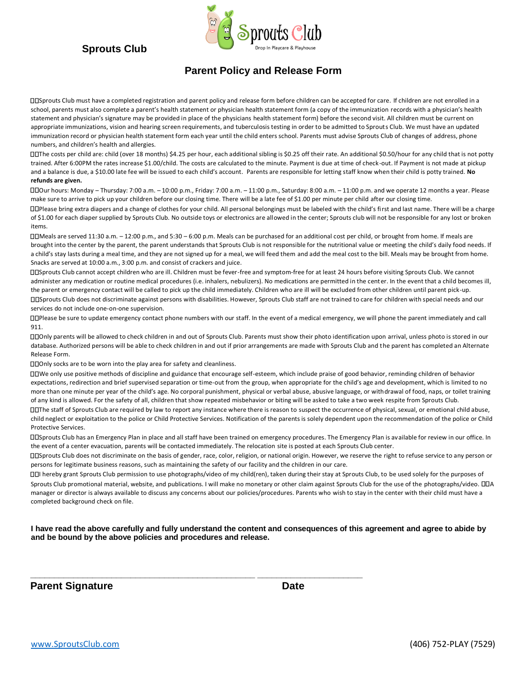## **Sprouts Club**



### **Parent Policy and Release Form**

Sprouts Club must have a completed registration and parent policy and release form before children can be accepted for care. If children are not enrolled in a school, parents must also complete a parent's health statement or physician health statement form (a copy of the immunization records with a physician's health statement and physician's signature may be provided in place of the physicians health statement form) before the second visit. All children must be current on appropriate immunizations, vision and hearing screen requirements, and tuberculosis testing in order to be admitted to Sprouts Club. We must have an updated immunization record or physician health statement form each year until the child enters school. Parents must advise Sprouts Club of changes of address, phone numbers, and children's health and allergies.

The costs per child are: child (over 18 months) \$4.25 per hour, each additional sibling is \$0.25 off their rate. An additional \$0.50/hour for any child that is not potty trained. After 6:00PM the rates increase \$1.00/child. The costs are calculated to the minute. Payment is due at time of check-out. If Payment is not made at pickup and a balance is due, a \$10.00 late fee will be issued to each child's account.Parents are responsible for letting staff know when their child is potty trained. **No refunds are given.** 

Our hours: Monday – Thursday: 7:00 a.m. – 10:00 p.m., Friday: 7:00 a.m. – 11:00 p.m., Saturday: 8:00 a.m. – 11:00 p.m. and we operate 12 months a year. Please make sure to arrive to pick up your children before our closing time. There will be a late fee of \$1.00 per minute per child after our closing time.

Please bring extra diapers and a change of clothes for your child. All personal belongings must be labeled with the child's first and last name. There will be a charge of \$1.00 for each diaper supplied by Sprouts Club. No outside toys or electronics are allowed in the center; Sprouts club will not be responsible for any lost or broken items.

Meals are served 11:30 a.m. – 12:00 p.m., and 5:30 – 6:00 p.m. Meals can be purchased for an additional cost per child, or brought from home. If meals are brought into the center by the parent, the parent understands that Sprouts Club is not responsible for the nutritional value or meeting the child's daily food needs. If a child's stay lasts during a meal time, and they are not signed up for a meal, we will feed them and add the meal cost to the bill. Meals may be brought from home. Snacks are served at 10:00 a.m., 3:00 p.m. and consist of crackers and juice.

Sprouts Club cannot accept children who are ill. Children must be fever-free and symptom-free for at least 24 hours before visiting Sprouts Club. We cannot administer any medication or routine medical procedures (i.e. inhalers, nebulizers). No medications are permitted in the center. In the event that a child becomes ill, the parent or emergency contact will be called to pick up the child immediately. Children who are ill will be excluded from other children until parent pick-up. Sprouts Club does not discriminate against persons with disabilities. However, Sprouts Club staff are not trained to care for children with special needs and our services do not include one-on-one supervision.

Please be sure to update emergency contact phone numbers with our staff. In the event of a medical emergency, we will phone the parent immediately and call 911.

Only parents will be allowed to check children in and out of Sprouts Club. Parents must show their photo identification upon arrival, unless photo is stored in our database. Authorized persons will be able to check children in and out if prior arrangements are made with Sprouts Club and the parent has completed an Alternate Release Form.

Only socks are to be worn into the play area for safety and cleanliness.

We only use positive methods of discipline and guidance that encourage self-esteem, which include praise of good behavior, reminding children of behavior expectations, redirection and brief supervised separation or time-out from the group, when appropriate for the child's age and development, which is limited to no more than one minute per year of the child's age. No corporal punishment, physical or verbal abuse, abusive language, or withdrawal of food, naps, or toilet training of any kind is allowed. For the safety of all, children that show repeated misbehavior or biting will be asked to take a two week respite from Sprouts Club.

The staff of Sprouts Club are required by law to report any instance where there is reason to suspect the occurrence of physical, sexual, or emotional child abuse, child neglect or exploitation to the police or Child Protective Services. Notification of the parents is solely dependent upon the recommendation of the police or Child Protective Services.

Sprouts Club has an Emergency Plan in place and all staff have been trained on emergency procedures. The Emergency Plan is available for review in our office. In the event of a center evacuation, parents will be contacted immediately. The relocation site is posted at each Sprouts Club center.

Sprouts Club does not discriminate on the basis of gender, race, color, religion, or national origin. However, we reserve the right to refuse service to any person or persons for legitimate business reasons, such as maintaining the safety of our facility and the children in our care.

I hereby grant Sprouts Club permission to use photographs/video of my child(ren), taken during their stay at Sprouts Club, to be used solely for the purposes of Sprouts Club promotional material, website, and publications. I will make no monetary or other claim against Sprouts Club for the use of the photographs/video.  $\square\square$ A manager or director is always available to discuss any concerns about our policies/procedures. Parents who wish to stay in the center with their child must have a completed background check on file.

**I have read the above carefully and fully understand the content and consequences of this agreement and agree to abide by and be bound by the above policies and procedures and release.** 

**\_\_\_\_\_\_\_\_\_\_\_\_\_\_\_\_\_\_\_\_\_\_\_\_\_\_\_\_\_\_\_\_\_\_\_\_\_\_\_\_\_\_\_\_\_\_\_ \_\_\_\_\_\_\_\_\_\_\_\_\_\_\_\_\_\_\_\_\_\_** 

**Parent Signature Date Contract Parent Signature Date**